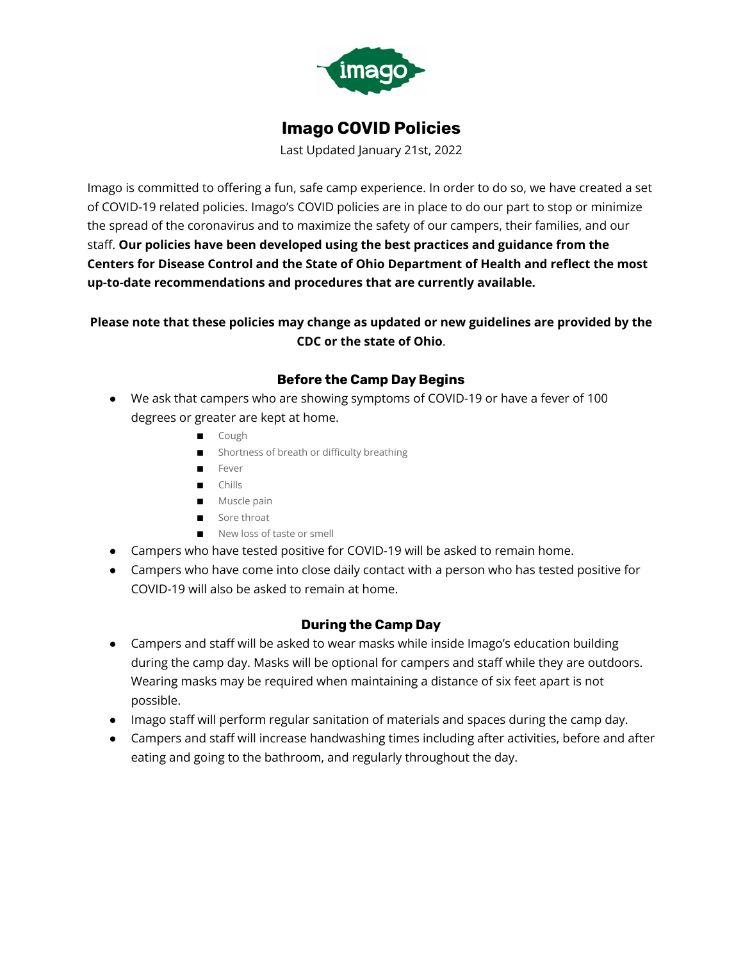

# **Imago COVID Policies**

Last Updated January 21st, 2022

Imago is committed to offering a fun, safe camp experience. In order to do so, we have created a set of COVID-19 related policies. Imago's COVID policies are in place to do our part to stop or minimize the spread of the coronavirus and to maximize the safety of our campers, their families, and our staff. **Our policies have been developed using the best practices and guidance from the Centers for Disease Control and the State of Ohio Department of Health and reflect the most up-to-date recommendations and procedures that are currently available.**

# **Please note that these policies may change as updated or new guidelines are provided by the CDC or the state of Ohio**.

# **Before the Camp Day Begins**

- We ask that campers who are showing symptoms of COVID-19 or have a fever of 100 degrees or greater are kept at home.
	- Cough
	- Shortness of breath or difficulty breathing
	- Fever
	- Chills
	- Muscle pain
	- Sore throat
	- New loss of taste or smell
- Campers who have tested positive for COVID-19 will be asked to remain home.
- Campers who have come into close daily contact with a person who has tested positive for COVID-19 will also be asked to remain at home.

# **During the Camp Day**

- Campers and staff will be asked to wear masks while inside Imago's education building during the camp day. Masks will be optional for campers and staff while they are outdoors. Wearing masks may be required when maintaining a distance of six feet apart is not possible.
- Imago staff will perform regular sanitation of materials and spaces during the camp day.
- Campers and staff will increase handwashing times including after activities, before and after eating and going to the bathroom, and regularly throughout the day.